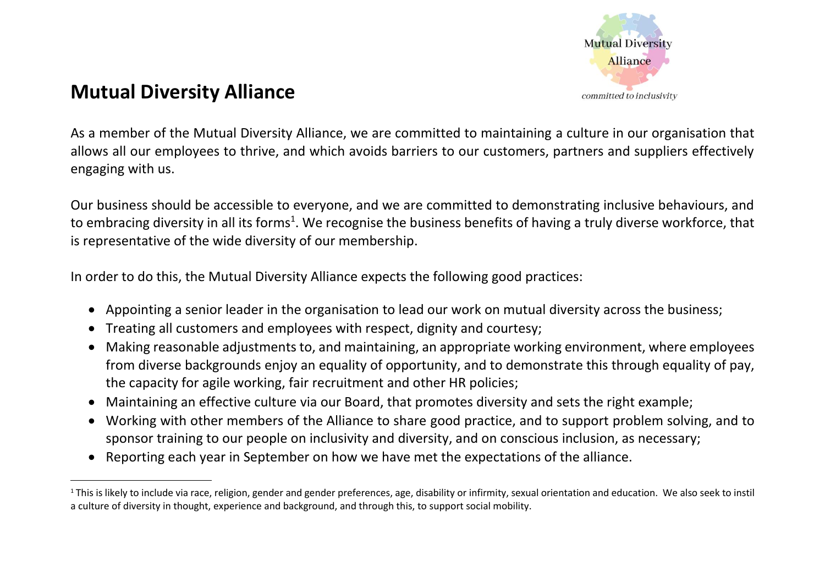

## **Mutual Diversity Alliance**

As a member of the Mutual Diversity Alliance, we are committed to maintaining a culture in our organisation that allows all our employees to thrive, and which avoids barriers to our customers, partners and suppliers effectively engaging with us.

Our business should be accessible to everyone, and we are committed to demonstrating inclusive behaviours, and to embracing diversity in all its forms<sup>1</sup>. We recognise the business benefits of having a truly diverse workforce, that is representative of the wide diversity of our membership.

In order to do this, the Mutual Diversity Alliance expects the following good practices:

- Appointing a senior leader in the organisation to lead our work on mutual diversity across the business;
- Treating all customers and employees with respect, dignity and courtesy;
- Making reasonable adjustments to, and maintaining, an appropriate working environment, where employees from diverse backgrounds enjoy an equality of opportunity, and to demonstrate this through equality of pay, the capacity for agile working, fair recruitment and other HR policies;
- Maintaining an effective culture via our Board, that promotes diversity and sets the right example;
- Working with other members of the Alliance to share good practice, and to support problem solving, and to sponsor training to our people on inclusivity and diversity, and on conscious inclusion, as necessary;
- Reporting each year in September on how we have met the expectations of the alliance.

<sup>&</sup>lt;sup>1</sup> This is likely to include via race, religion, gender and gender preferences, age, disability or infirmity, sexual orientation and education. We also seek to instil a culture of diversity in thought, experience and background, and through this, to support social mobility.